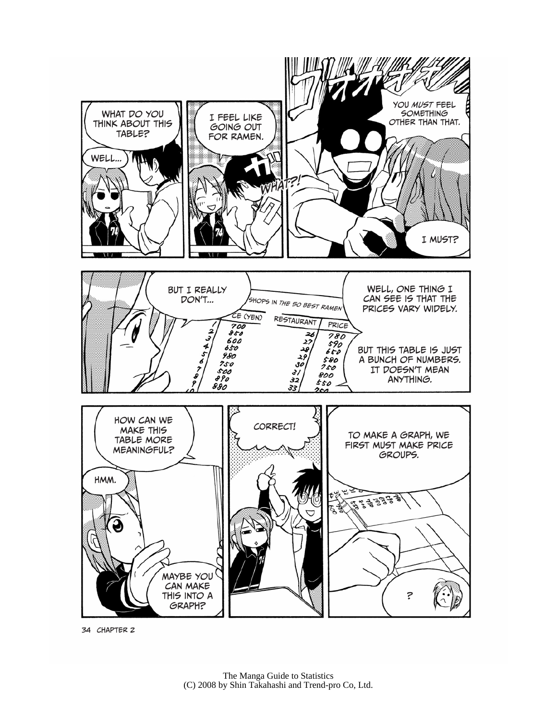

34 Chapter 2